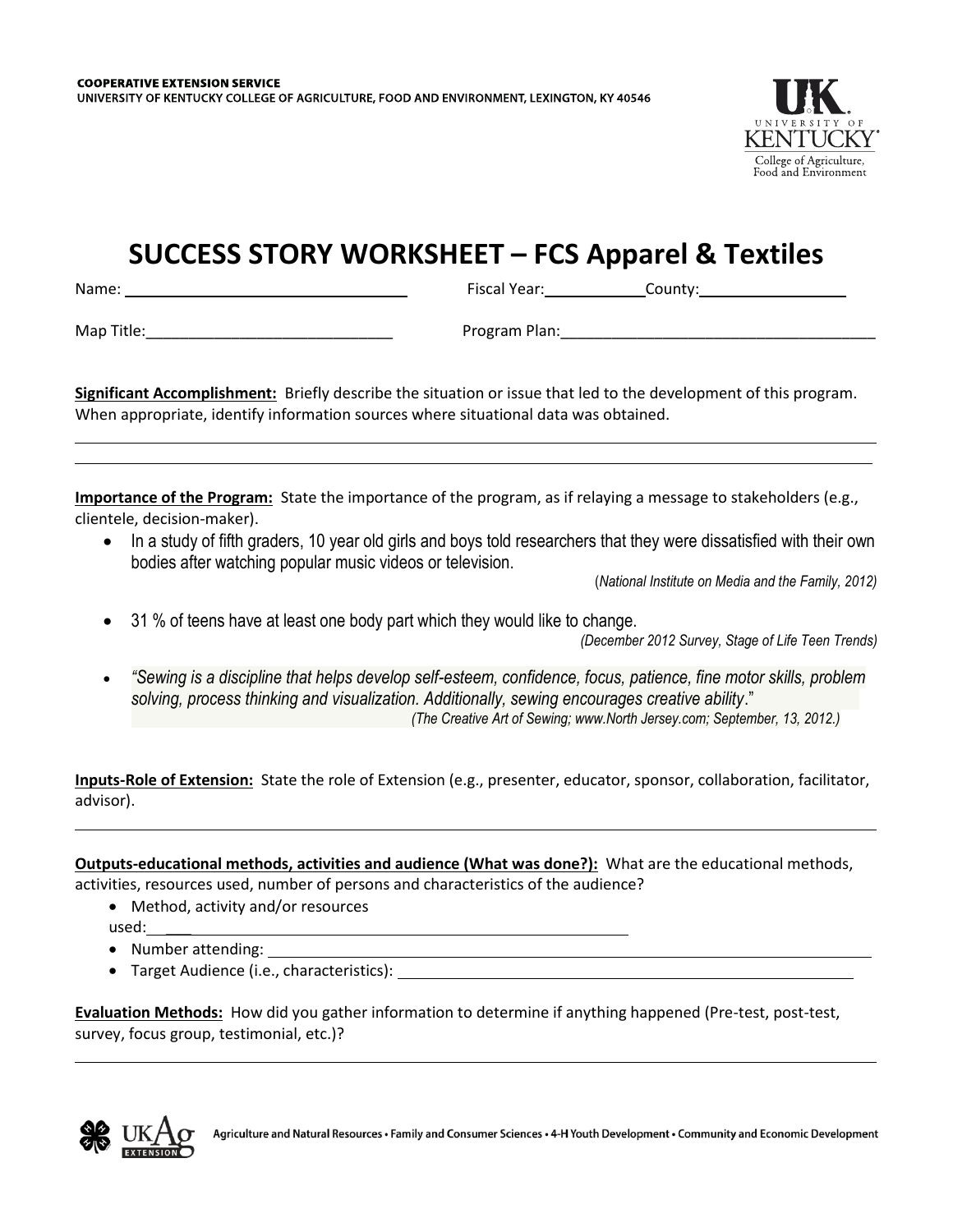

## **SUCCESS STORY WORKSHEET – FCS Apparel & Textiles**

Name: Fiscal Year: County:

Map Title: with a set of the set of the Program Plan: the Second Plane of the Second Plane of the Second Plane o

**Significant Accomplishment:** Briefly describe the situation or issue that led to the development of this program. When appropriate, identify information sources where situational data was obtained.

**Importance of the Program:** State the importance of the program, as if relaying a message to stakeholders (e.g., clientele, decision-maker).

• In a study of fifth graders, 10 year old girls and boys told researchers that they were dissatisfied with their own bodies after watching popular music videos or television.

(*National Institute on Media and the Family, 2012)*

31 % of teens have at least one body part which they would like to change.

*(December 2012 Survey, Stage of Life Teen Trends)*

 *"Sewing is a discipline that helps develop self-esteem, confidence, focus, patience, fine motor skills, problem solving, process thinking and visualization. Additionally, sewing encourages creative ability*." *(The Creative Art of Sewing; www.North Jersey.com; September, 13, 2012.)*

**Inputs-Role of Extension:** State the role of Extension (e.g., presenter, educator, sponsor, collaboration, facilitator, advisor).

**Outputs-educational methods, activities and audience (What was done?):** What are the educational methods, activities, resources used, number of persons and characteristics of the audience?

- Method, activity and/or resources used: \_\_\_
- 
- Number attending: Target Audience (i.e., characteristics):

**Evaluation Methods:** How did you gather information to determine if anything happened (Pre-test, post-test, survey, focus group, testimonial, etc.)?